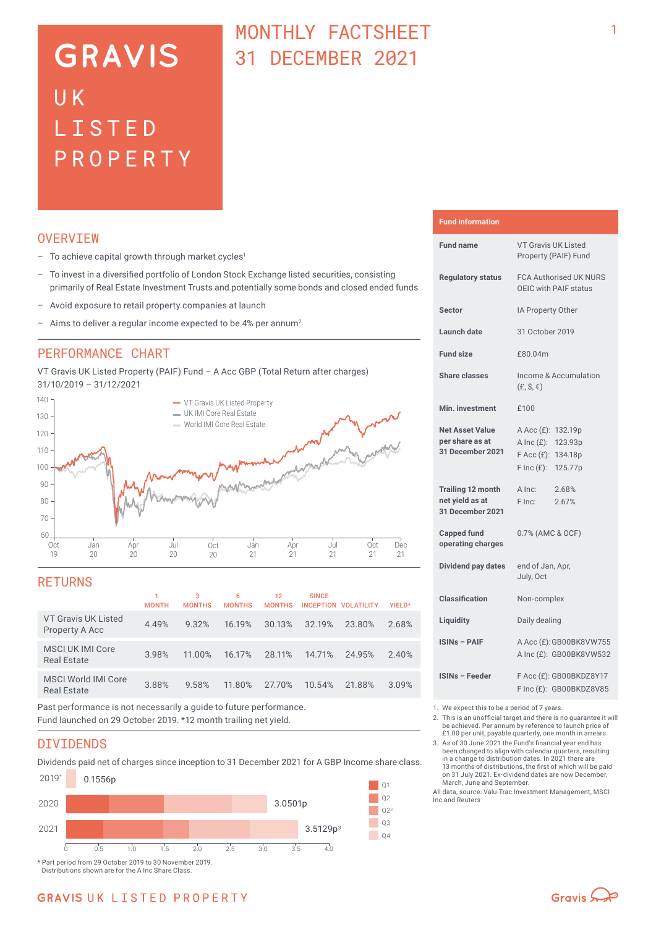# **GRAVIS** UK LISTED PROPERTY

# MONTHLY FACTSHEET 31 DECEMBER 2021

## **OVERVTEW**

- $-$  To achieve capital growth through market cycles<sup>1</sup>
- To invest in a diversified portfolio of London Stock Exchange listed securities, consisting primarily of Real Estate Investment Trusts and potentially some bonds and closed ended funds
- Avoid exposure to retail property companies at launch
- Aims to deliver a regular income expected to be 4% per annum<sup>2</sup>

### PERFORMANCE CHART

VT Gravis UK Listed Property (PAIF) Fund – A Acc GBP (Total Return after charges) 31/10/2019 – 31/12/2021



### **RETURNS**

|                                                                                                                | <b>MONTH</b> | 3<br><b>MONTHS</b> | 6<br><b>MONTHS</b> | 12<br><b>MONTHS</b> | <b>SINCE</b> | INCEPTION VOLATILITY | YIELD* |
|----------------------------------------------------------------------------------------------------------------|--------------|--------------------|--------------------|---------------------|--------------|----------------------|--------|
| VT Gravis UK Listed<br>Property A Acc                                                                          | 4.49%        | 9.32%              | 16.19%             | 30.13%              | 32.19%       | 23.80%               | 2.68%  |
| <b>MSCI UK IMI Core</b><br><b>Real Estate</b>                                                                  | 3.98%        | 11.00%             | 16.17%             | 28.11%              | 14.71%       | 24.95%               | 2.40%  |
| <b>MSCI World IMI Core</b><br><b>Real Estate</b>                                                               | 3.88%        | 9.58%              | 11.80%             | 27.70%              | 10.54%       | 21.88%               | 3.09%  |
| Basanta a diferente del contra del contra del contra del care i fundamento del contra del contra del contra de |              |                    |                    |                     |              |                      |        |

Past performance is not necessarily a guide to future performance. Fund launched on 29 October 2019. \*12 month trailing net yield.

## DIVIDENDS

Dividends paid net of charges since inception to 31 December 2021 for A GBP Income share class.



Distributions shown are for the A Inc Share Class.

#### **Fund information**

| <b>Fund name</b>                                                | <b>VT Gravis UK Listed</b><br>Property (PAIF) Fund                                               |  |  |  |
|-----------------------------------------------------------------|--------------------------------------------------------------------------------------------------|--|--|--|
| <b>Regulatory status</b>                                        | <b>FCA Authorised UK NURS</b><br>OEIC with PAIF status                                           |  |  |  |
| <b>Sector</b>                                                   | IA Property Other                                                                                |  |  |  |
| Launch date                                                     | 31 October 2019                                                                                  |  |  |  |
| <b>Fund size</b>                                                | £80.04m                                                                                          |  |  |  |
| <b>Share classes</b>                                            | Income & Accumulation<br>$(E, \hat{S}, \epsilon)$                                                |  |  |  |
| Min. investment                                                 | £100                                                                                             |  |  |  |
| <b>Net Asset Value</b><br>per share as at<br>31 December 2021   | A Acc (£): 132.19p<br>A Inc (£): 123.93p<br>F Acc (£): 134.18p<br>$F \text{Inc}(f)$ :<br>125.77p |  |  |  |
| <b>Trailing 12 month</b><br>net yield as at<br>31 December 2021 | A Inc:<br>2.68%<br>2.67%<br>F Inc:                                                               |  |  |  |
| <b>Capped fund</b><br>operating charges                         | 0.7% (AMC & OCF)                                                                                 |  |  |  |
| <b>Dividend pay dates</b>                                       | end of Jan, Apr,<br>July, Oct                                                                    |  |  |  |
| <b>Classification</b>                                           | Non-complex                                                                                      |  |  |  |
| Liquidity                                                       | Daily dealing                                                                                    |  |  |  |
| <b>ISINs - PAIF</b>                                             | A Acc (£): GB00BK8VW755<br>A Inc (£): GB00BK8VW532                                               |  |  |  |
| <b>ISINs - Feeder</b>                                           | F Acc (£): GB00BKDZ8Y17<br>F Inc (£): GB00BKDZ8V85                                               |  |  |  |

1. We expect this to be a period of 7 years.<br>2. This is an unofficial target and there is n

2. This is an unofficial target and there is no guarantee it will be achieved. Per annum by reference to launch price of £1.00 per unit, payable quarterly, one month in arrears.

3. As of 30 June 2021 the Fund's financial year end has been changed to align with calendar quarters, resulting in a change to distribution dates. In 2021 there are 13 months of distributions, the first of which will be paid on 31 July 2021. Ex-dividend dates are now December,

March, June and September. All data, source: Valu-Trac Investment Management, MSCI Inc and Reuters

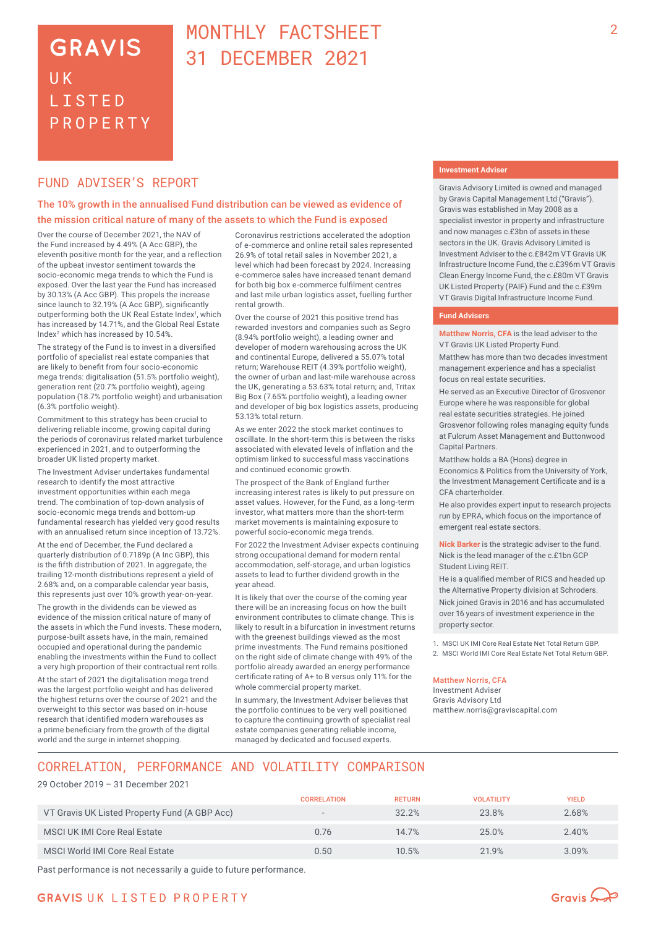# **GRAVIS UK LISTED** PROPERTY

# MONTHLY FACTSHEET 31 DECEMBER 2021

## FUND ADVISER'S REPORT

### The 10% growth in the annualised Fund distribution can be viewed as evidence of the mission critical nature of many of the assets to which the Fund is exposed

Over the course of December 2021, the NAV of the Fund increased by 4.49% (A Acc GBP), the eleventh positive month for the year, and a reflection of the upbeat investor sentiment towards the socio-economic mega trends to which the Fund is exposed. Over the last year the Fund has increased by 30.13% (A Acc GBP). This propels the increase since launch to 32.19% (A Acc GBP), significantly outperforming both the UK Real Estate Index<sup>1</sup>, which has increased by 14.71%, and the Global Real Estate Index2 which has increased by 10.54%.

The strategy of the Fund is to invest in a diversified portfolio of specialist real estate companies that are likely to benefit from four socio-economic mega trends: digitalisation (51.5% portfolio weight), generation rent (20.7% portfolio weight), ageing population (18.7% portfolio weight) and urbanisation (6.3% portfolio weight).

Commitment to this strategy has been crucial to delivering reliable income, growing capital during the periods of coronavirus related market turbulence experienced in 2021, and to outperforming the broader UK listed property market.

The Investment Adviser undertakes fundamental research to identify the most attractive investment opportunities within each mega trend. The combination of top-down analysis of socio-economic mega trends and bottom-up fundamental research has yielded very good results with an annualised return since inception of 13.72%.

At the end of December, the Fund declared a quarterly distribution of 0.7189p (A Inc GBP), this is the fifth distribution of 2021. In aggregate, the trailing 12-month distributions represent a yield of 2.68% and, on a comparable calendar year basis, this represents just over 10% growth year-on-year.

The growth in the dividends can be viewed as evidence of the mission critical nature of many of the assets in which the Fund invests. These modern, purpose-built assets have, in the main, remained occupied and operational during the pandemic enabling the investments within the Fund to collect a very high proportion of their contractual rent rolls.

At the start of 2021 the digitalisation mega trend was the largest portfolio weight and has delivered the highest returns over the course of 2021 and the overweight to this sector was based on in-house research that identified modern warehouses as a prime beneficiary from the growth of the digital world and the surge in internet shopping.

Coronavirus restrictions accelerated the adoption of e-commerce and online retail sales represented 26.9% of total retail sales in November 2021, a level which had been forecast by 2024. Increasing e-commerce sales have increased tenant demand for both big box e-commerce fulfilment centres and last mile urban logistics asset, fuelling further rental growth

Over the course of 2021 this positive trend has rewarded investors and companies such as Segro (8.94% portfolio weight), a leading owner and developer of modern warehousing across the UK and continental Europe, delivered a 55.07% total return; Warehouse REIT (4.39% portfolio weight), the owner of urban and last-mile warehouse across the UK, generating a 53.63% total return; and, Tritax Big Box (7.65% portfolio weight), a leading owner and developer of big box logistics assets, producing 53.13% total return.

As we enter 2022 the stock market continues to oscillate. In the short-term this is between the risks associated with elevated levels of inflation and the optimism linked to successful mass vaccinations and continued economic growth.

The prospect of the Bank of England further increasing interest rates is likely to put pressure on asset values. However, for the Fund, as a long-term investor, what matters more than the short-term market movements is maintaining exposure to powerful socio-economic mega trends.

For 2022 the Investment Adviser expects continuing strong occupational demand for modern rental accommodation, self-storage, and urban logistics assets to lead to further dividend growth in the year ahead.

It is likely that over the course of the coming year there will be an increasing focus on how the built environment contributes to climate change. This is likely to result in a bifurcation in investment returns with the greenest buildings viewed as the most prime investments. The Fund remains positioned on the right side of climate change with 49% of the portfolio already awarded an energy performance certificate rating of A+ to B versus only 11% for the whole commercial property market.

In summary, the Investment Adviser believes that the portfolio continues to be very well positioned to capture the continuing growth of specialist real estate companies generating reliable income, managed by dedicated and focused experts.

#### **Investment Adviser**

Gravis Advisory Limited is owned and managed by Gravis Capital Management Ltd ("Gravis"). Gravis was established in May 2008 as a specialist investor in property and infrastructure and now manages c.£3bn of assets in these sectors in the UK. Gravis Advisory Limited is Investment Adviser to the c.£842m VT Gravis UK Infrastructure Income Fund, the c.£396m VT Gravis Clean Energy Income Fund, the c.£80m VT Gravis UK Listed Property (PAIF) Fund and the c.£39m VT Gravis Digital Infrastructure Income Fund.

#### **Fund Advisers**

**Matthew Norris, CFA** is the lead adviser to the VT Gravis UK Listed Property Fund.

Matthew has more than two decades investment management experience and has a specialist focus on real estate securities.

He served as an Executive Director of Grosvenor Europe where he was responsible for global real estate securities strategies. He joined Grosvenor following roles managing equity funds at Fulcrum Asset Management and Buttonwood Capital Partners.

Matthew holds a BA (Hons) degree in Economics & Politics from the University of York, the Investment Management Certificate and is a CFA charterholder.

He also provides expert input to research projects run by EPRA, which focus on the importance of emergent real estate sectors.

**Nick Barker** is the strategic adviser to the fund. Nick is the lead manager of the c.£1bn GCP Student Living REIT.

He is a qualified member of RICS and headed up the Alternative Property division at Schroders. Nick joined Gravis in 2016 and has accumulated over 16 years of investment experience in the property sector.

1. MSCI UK IMI Core Real Estate Net Total Return GBP. 2. MSCI World IMI Core Real Estate Net Total Return GBP.

#### Matthew Norris, CFA

Investment Adviser Gravis Advisory Ltd matthew.norris@graviscapital.com

# CORRELATION, PERFORMANCE AND VOLATILITY COMPARISON

29 October 2019 – 31 December 2021

|                                               | <b>CORRELATION</b> | <b>RETURN</b> | <b>VOLATILITY</b> | YIELD |
|-----------------------------------------------|--------------------|---------------|-------------------|-------|
| VT Gravis UK Listed Property Fund (A GBP Acc) | $\sim$             | 32.2%         | 23.8%             | 2.68% |
| MSCI UK IMI Core Real Estate                  | 0.76               | 14.7%         | 25.0%             | 2.40% |
| MSCI World IMI Core Real Estate               | 0.50               | 10.5%         | 21.9%             | 3.09% |

Past performance is not necessarily a guide to future performance.